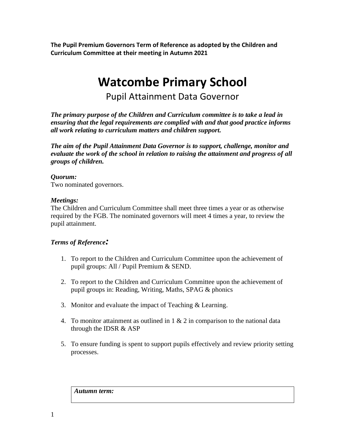**The Pupil Premium Governors Term of Reference as adopted by the Children and Curriculum Committee at their meeting in Autumn 2021**

# **Watcombe Primary School**

Pupil Attainment Data Governor

*The primary purpose of the Children and Curriculum committee is to take a lead in ensuring that the legal requirements are complied with and that good practice informs all work relating to curriculum matters and children support.* 

*The aim of the Pupil Attainment Data Governor is to support, challenge, monitor and evaluate the work of the school in relation to raising the attainment and progress of all groups of children.*

## *Quorum:*

Two nominated governors.

#### *Meetings:*

The Children and Curriculum Committee shall meet three times a year or as otherwise required by the FGB. The nominated governors will meet 4 times a year, to review the pupil attainment.

## *Terms of Reference:*

- 1. To report to the Children and Curriculum Committee upon the achievement of pupil groups: All / Pupil Premium & SEND.
- 2. To report to the Children and Curriculum Committee upon the achievement of pupil groups in: Reading, Writing, Maths, SPAG & phonics
- 3. Monitor and evaluate the impact of Teaching & Learning.
- 4. To monitor attainment as outlined in  $1 \& 2$  in comparison to the national data through the IDSR & ASP
- 5. To ensure funding is spent to support pupils effectively and review priority setting processes.

*Autumn term:*